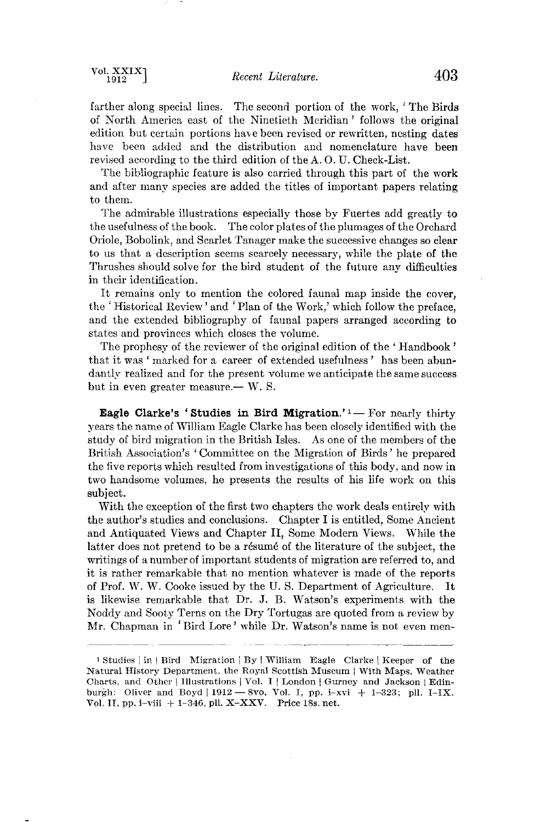**farther along special lines. The second portion of the work, ' The Birds of North America east of the Ninetieth Meridian' follows the original edition but certain portions have been revised or rewritten, nesting dates have been added and the distribution and nomenclature have been**  revised according to the third edition of the A.O.U. Check-List.

**The bibliographic feature is also carried through this part of the work and after many species are added the titles of important papers relating to them.** 

**The admirable illustrations especially those by Fuertes add greatly to the usefulness of the book. The color plates of the plumages of the Orchard Oriole, Bobolink, and Scarlet Tanager make the successive changes so clear to us that a description seems scarcely necessary, while the plate of the Thrushes should solve for the bird student of the future any difficulties in their identification.** 

**It remains only to mention the colored faunal map inside the cover, the ' Historical Review' and ' Plan of the Work,' which follow the preface, and the extended bibliography of faunal papers arranged according to states and provinces which closes the volume.** 

**The prophesy of the reviewer of the original edition of the ' Handbook '**  that it was 'marked for a career of extended usefulness' has been abun**dantly realized and for the present volume we anticipate the same success**  but in even greater measure.— W. S.

**Eagle Clarke's 'Studies in Bird Migration.'** <sup>1</sup> -- For nearly thirty **years the name of •Villiam Eagle Clarke has been closely identified with the study of bird migration in the British Isles. As one of the members of the British Association's ' Committee on the Migration of Birds' he prepared the five reports which resulted from investigations of this body, and now in two handsome volumes, he presents the results of his life work on this subject.** 

**With the exception of the first two chapters the work deals entirely with the author's studies and conclusions. Chapter I is entitled, Some Ancient and Antiquated Views and Chapter II, Some Modern Views. While the**  latter does not pretend to be a résumé of the literature of the subject, the **writings of a number of important students of migration are referred to, and it is rather remarkable that no mention whatever is made of the reports of Prof. W. W. Cooke issued by the U.S. Department of Agriculture. It**  is likewise remarkable that Dr. J. B. Watson's experiments with the **Noddy and Sooty Terns on the Dry Tortugas are quoted from a review by Mr. Chapman in ' Bird Lore' while Dr. Watsoh's name is not even men-**

<sup>&</sup>lt;sup>1</sup> Studies | in | Bird Migration | By | William Eagle Clarke | Keeper of the Natural History Department, the Royal Scottish Museum i With Maps, Weather Charts, and Other | Illustrations | Vol. I | London | Gurney and Jackson | Edinburgh: Oliver and Boyd | 1912 - 8vo, Vol. I, pp. i-xvi + 1-323; pll. I-IX. **Vol. IL pp. i-viii + 1-346, pll. X-XXV. Price 18s. net.**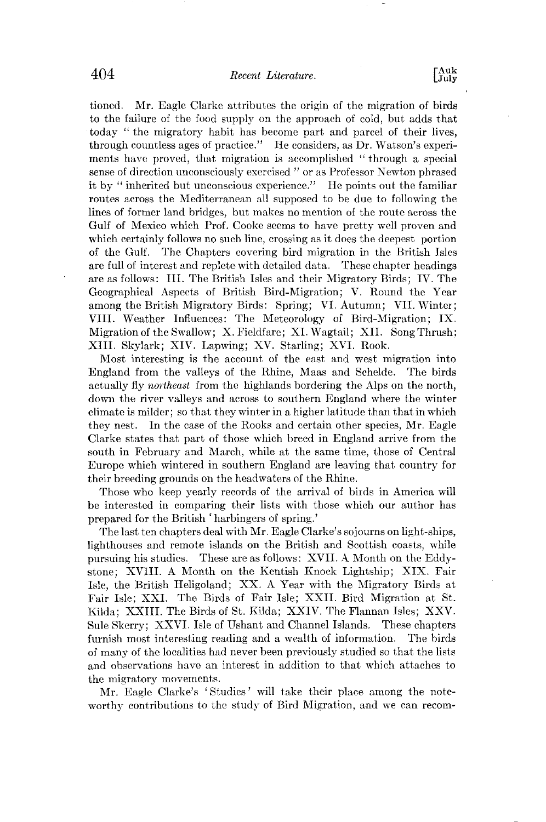**tioncd. Mr. Eagle Clarke attributes the origin of the migration of birds to the failure of the food supply on the approach of cold, but adds that today "the migratory habit has become part and parcel of their lives,**  through countless ages of practice." He considers, as Dr. Watson's experi**ments have proved, that migration is accomplished "through a special sense of direction unconsciously exercised" or as Professor Nexvton phrased it by "inherited but unconseious experience." He points out the familiar routes across the Mediterranean all supposed to be due to folloxving the lines of former land bridges, but makes no mention of the route across the Gulf of Mexico which Prof. Cooke seems to have pretty well proven and which certainly follows no such line, crossing as it does the deepest portion of the Gulf. The Chapters covering bird migration in the British Isles are full of interest and replete with detailed data. These chapter headings are as follows: III. The British Isles and their Migratory Birds; IV. The Geographical Aspects of British Bird-Migration; V. Round the Year among the British Migratory Birds: Spring; VI. Autumn; VII. Winter; VIII. Weather Influences: The Meteorology of Bird-Migration; IX. Migration of the Swallow; X. Fieldfare; XI. Wagtail; XII. Song Thrush: XIII. Skylark; XIV. Lapwing; XV. Starling; XVI. Rook.** 

**Most interesting is the account of the east and west migration into England from the valleys of the Rhine, Maas and Schelde. The birds actually fly northeast from the highlands bordering the Alps on the north, down the river valleys and across to southern England where the winter climate is milder; so that they winter in a higher lalitude than that in which they nest. In the case of the Rooks and certain other species, Mr. Eagle Clarke states that part of those which breed in England arrive from the south in February and March, while at the same time, those of Central Europe which wintered in southern England are leaving that country for their breeding grounds on the headwaters of the Rhine.** 

**Those who keep yearly records of the arrival of birds in America will be interested in comparing their lists with those which our author has prepared for the British ' harbingers of spring.'** 

**The last ten chapters deal with Mr. Eagle Clarke's sojourns on light-ships, lighthouses and remote islands on the British and Scottish coasts, while pursuing his studies. These are as follows: XVII. A Month on the Eddy- .stone; XVIII. A Month on the Kentish Knock Lightship; XIX. Fair Isle, the British Heligoland; XX. A Year with the Migratory Birds at Fair Isle; XXI. The Birds of Fair Isle; XXII. Bird Migration at St. Kilda; XXIII. The Birds of St. Kilda; XXIV. The Flannan Isles; XXV. Sule Skcrry; XXVI. Isle of Ushant and Channel Islands. These chapters furnish most interesting reading and a wealth of information. The birds of many of the localities had never been previously studied so that the lists and observations have an intercst in addition to that which attaches to the migratory movements.** 

**Mr. Eagle Clarke's 'Studies' will take their place among the noteworthy contributions to the study of Bird Migration, and we can recom-**